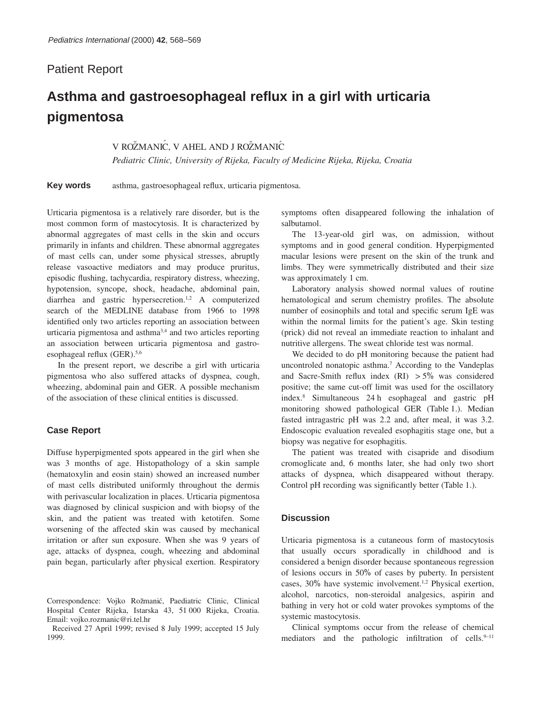# Patient Report

# **Asthma and gastroesophageal reflux in a girl with urticaria pigmentosa**

# V ROŽMANIĆ, V AHEL AND J ROŽMANIĆ

*Pediatric Clinic, University of Rijeka, Faculty of Medicine Rijeka, Rijeka, Croatia*

**Key words** asthma, gastroesophageal reflux, urticaria pigmentosa.

Urticaria pigmentosa is a relatively rare disorder, but is the most common form of mastocytosis. It is characterized by abnormal aggregates of mast cells in the skin and occurs primarily in infants and children. These abnormal aggregates of mast cells can, under some physical stresses, abruptly release vasoactive mediators and may produce pruritus, episodic flushing, tachycardia, respiratory distress, wheezing, hypotension, syncope, shock, headache, abdominal pain, diarrhea and gastric hypersecretion.1,2 A computerized search of the MEDLINE database from 1966 to 1998 identified only two articles reporting an association between urticaria pigmentosa and asthma<sup>3,4</sup> and two articles reporting an association between urticaria pigmentosa and gastroesophageal reflux (GER).<sup>5,6</sup>

In the present report, we describe a girl with urticaria pigmentosa who also suffered attacks of dyspnea, cough, wheezing, abdominal pain and GER. A possible mechanism of the association of these clinical entities is discussed.

#### **Case Report**

Diffuse hyperpigmented spots appeared in the girl when she was 3 months of age. Histopathology of a skin sample (hematoxylin and eosin stain) showed an increased number of mast cells distributed uniformly throughout the dermis with perivascular localization in places. Urticaria pigmentosa was diagnosed by clinical suspicion and with biopsy of the skin, and the patient was treated with ketotifen. Some worsening of the affected skin was caused by mechanical irritation or after sun exposure. When she was 9 years of age, attacks of dyspnea, cough, wheezing and abdominal pain began, particularly after physical exertion. Respiratory

Received 27 April 1999; revised 8 July 1999; accepted 15 July 1999.

symptoms often disappeared following the inhalation of salbutamol.

The 13-year-old girl was, on admission, without symptoms and in good general condition. Hyperpigmented macular lesions were present on the skin of the trunk and limbs. They were symmetrically distributed and their size was approximately 1 cm.

Laboratory analysis showed normal values of routine hematological and serum chemistry profiles. The absolute number of eosinophils and total and specific serum IgE was within the normal limits for the patient's age. Skin testing (prick) did not reveal an immediate reaction to inhalant and nutritive allergens. The sweat chloride test was normal.

We decided to do pH monitoring because the patient had uncontroled nonatopic asthma.7 According to the Vandeplas and Sacre-Smith reflux index  $(RI) > 5\%$  was considered positive; the same cut-off limit was used for the oscillatory index.8 Simultaneous 24 h esophageal and gastric pH monitoring showed pathological GER (Table 1.). Median fasted intragastric pH was 2.2 and, after meal, it was 3.2. Endoscopic evaluation revealed esophagitis stage one, but a biopsy was negative for esophagitis.

The patient was treated with cisapride and disodium cromoglicate and, 6 months later, she had only two short attacks of dyspnea, which disappeared without therapy. Control pH recording was significantly better (Table 1.).

## **Discussion**

Urticaria pigmentosa is a cutaneous form of mastocytosis that usually occurs sporadically in childhood and is considered a benign disorder because spontaneous regression of lesions occurs in 50% of cases by puberty. In persistent cases, 30% have systemic involvement.1,2 Physical exertion, alcohol, narcotics, non-steroidal analgesics, aspirin and bathing in very hot or cold water provokes symptoms of the systemic mastocytosis.

Clinical symptoms occur from the release of chemical mediators and the pathologic infiltration of cells. $9-11$ 

Correspondence: Vojko Rožmanić, Paediatric Clinic, Clinical Hospital Center Rijeka, Istarska 43, 51 000 Rijeka, Croatia. Email: vojko.rozmanic@ri.tel.hr